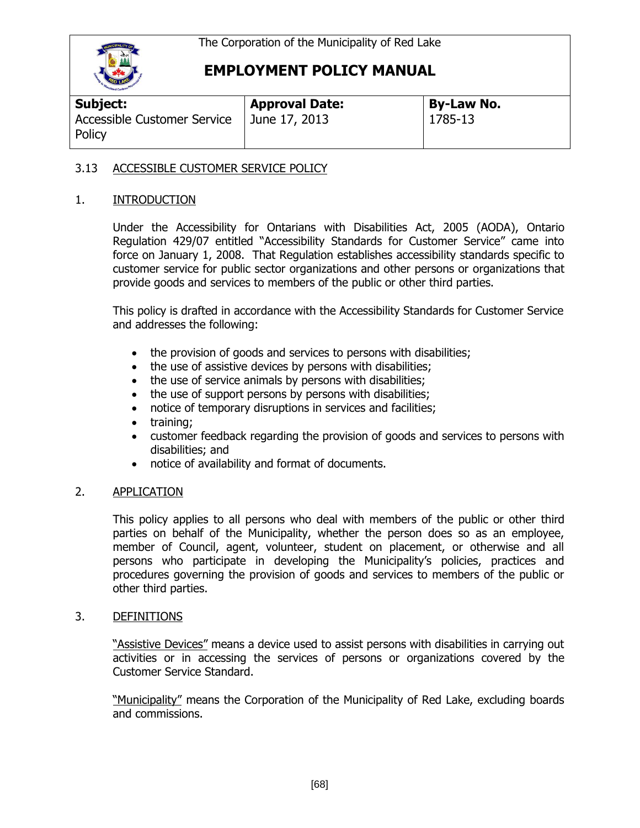

| <b>Subject:</b>                       | <b>Approval Date:</b> | By-Law No. |
|---------------------------------------|-----------------------|------------|
| Accessible Customer Service<br>Policy | June 17, 2013         | 1785-13    |

## 3.13 ACCESSIBLE CUSTOMER SERVICE POLICY

### 1. INTRODUCTION

Under the Accessibility for Ontarians with Disabilities Act, 2005 (AODA), Ontario Regulation 429/07 entitled "Accessibility Standards for Customer Service" came into force on January 1, 2008. That Regulation establishes accessibility standards specific to customer service for public sector organizations and other persons or organizations that provide goods and services to members of the public or other third parties.

This policy is drafted in accordance with the Accessibility Standards for Customer Service and addresses the following:

- the provision of goods and services to persons with disabilities;
- the use of assistive devices by persons with disabilities;
- the use of service animals by persons with disabilities;
- the use of support persons by persons with disabilities;
- notice of temporary disruptions in services and facilities;
- training:
- customer feedback regarding the provision of goods and services to persons with disabilities; and
- notice of availability and format of documents.

## 2. APPLICATION

This policy applies to all persons who deal with members of the public or other third parties on behalf of the Municipality, whether the person does so as an employee, member of Council, agent, volunteer, student on placement, or otherwise and all persons who participate in developing the Municipality's policies, practices and procedures governing the provision of goods and services to members of the public or other third parties.

#### 3. DEFINITIONS

"Assistive Devices" means a device used to assist persons with disabilities in carrying out activities or in accessing the services of persons or organizations covered by the Customer Service Standard.

"Municipality" means the Corporation of the Municipality of Red Lake, excluding boards and commissions.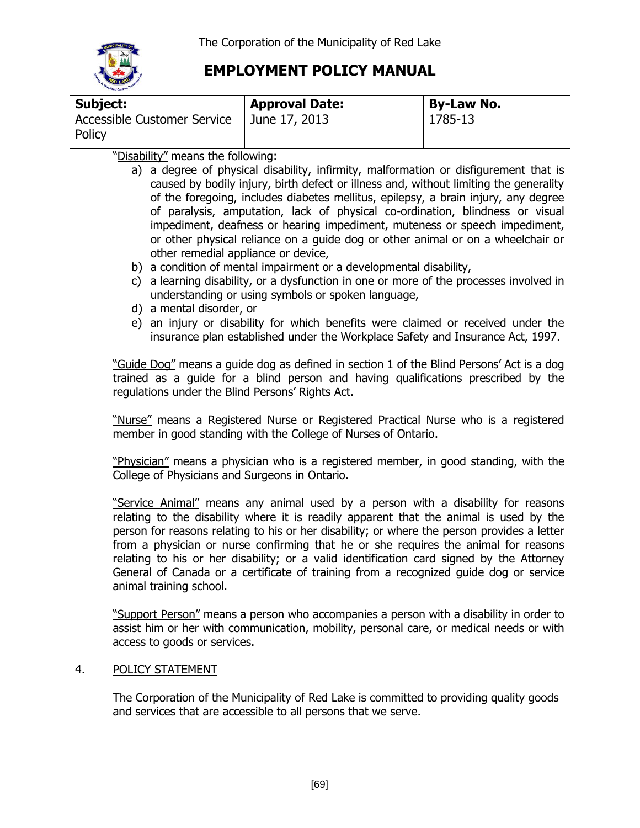

| Subject:                                     | <b>Approval Date:</b> | <b>By-Law No.</b> |
|----------------------------------------------|-----------------------|-------------------|
| <b>Accessible Customer Service</b><br>Policy | June 17, 2013         | 1785-13           |

"Disability" means the following:

- a) a degree of physical disability, infirmity, malformation or disfigurement that is caused by bodily injury, birth defect or illness and, without limiting the generality of the foregoing, includes diabetes mellitus, epilepsy, a brain injury, any degree of paralysis, amputation, lack of physical co-ordination, blindness or visual impediment, deafness or hearing impediment, muteness or speech impediment, or other physical reliance on a guide dog or other animal or on a wheelchair or other remedial appliance or device,
- b) a condition of mental impairment or a developmental disability,
- c) a learning disability, or a dysfunction in one or more of the processes involved in understanding or using symbols or spoken language,
- d) a mental disorder, or
- e) an injury or disability for which benefits were claimed or received under the insurance plan established under the Workplace Safety and Insurance Act, 1997.

"Guide Dog" means a guide dog as defined in section 1 of the Blind Persons' Act is a dog trained as a guide for a blind person and having qualifications prescribed by the regulations under the Blind Persons' Rights Act.

"Nurse" means a Registered Nurse or Registered Practical Nurse who is a registered member in good standing with the College of Nurses of Ontario.

"Physician" means a physician who is a registered member, in good standing, with the College of Physicians and Surgeons in Ontario.

"Service Animal" means any animal used by a person with a disability for reasons relating to the disability where it is readily apparent that the animal is used by the person for reasons relating to his or her disability; or where the person provides a letter from a physician or nurse confirming that he or she requires the animal for reasons relating to his or her disability; or a valid identification card signed by the Attorney General of Canada or a certificate of training from a recognized guide dog or service animal training school.

"Support Person" means a person who accompanies a person with a disability in order to assist him or her with communication, mobility, personal care, or medical needs or with access to goods or services.

## 4. POLICY STATEMENT

The Corporation of the Municipality of Red Lake is committed to providing quality goods and services that are accessible to all persons that we serve.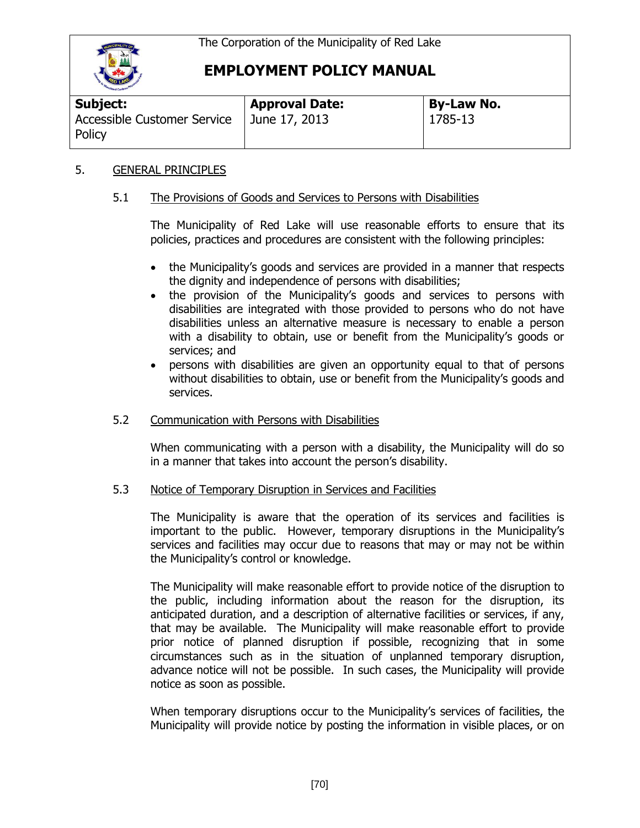

| Subject:                                              | <b>Approval Date:</b> | <b>By-Law No.</b> |
|-------------------------------------------------------|-----------------------|-------------------|
| Accessible Customer Service   June 17, 2013<br>Policy |                       | 1785-13           |

### 5. GENERAL PRINCIPLES

### 5.1 The Provisions of Goods and Services to Persons with Disabilities

The Municipality of Red Lake will use reasonable efforts to ensure that its policies, practices and procedures are consistent with the following principles:

- the Municipality's goods and services are provided in a manner that respects the dignity and independence of persons with disabilities;
- the provision of the Municipality's goods and services to persons with disabilities are integrated with those provided to persons who do not have disabilities unless an alternative measure is necessary to enable a person with a disability to obtain, use or benefit from the Municipality's goods or services; and
- persons with disabilities are given an opportunity equal to that of persons without disabilities to obtain, use or benefit from the Municipality's goods and services.

#### 5.2 Communication with Persons with Disabilities

When communicating with a person with a disability, the Municipality will do so in a manner that takes into account the person's disability.

#### 5.3 Notice of Temporary Disruption in Services and Facilities

The Municipality is aware that the operation of its services and facilities is important to the public. However, temporary disruptions in the Municipality's services and facilities may occur due to reasons that may or may not be within the Municipality's control or knowledge.

The Municipality will make reasonable effort to provide notice of the disruption to the public, including information about the reason for the disruption, its anticipated duration, and a description of alternative facilities or services, if any, that may be available. The Municipality will make reasonable effort to provide prior notice of planned disruption if possible, recognizing that in some circumstances such as in the situation of unplanned temporary disruption, advance notice will not be possible. In such cases, the Municipality will provide notice as soon as possible.

When temporary disruptions occur to the Municipality's services of facilities, the Municipality will provide notice by posting the information in visible places, or on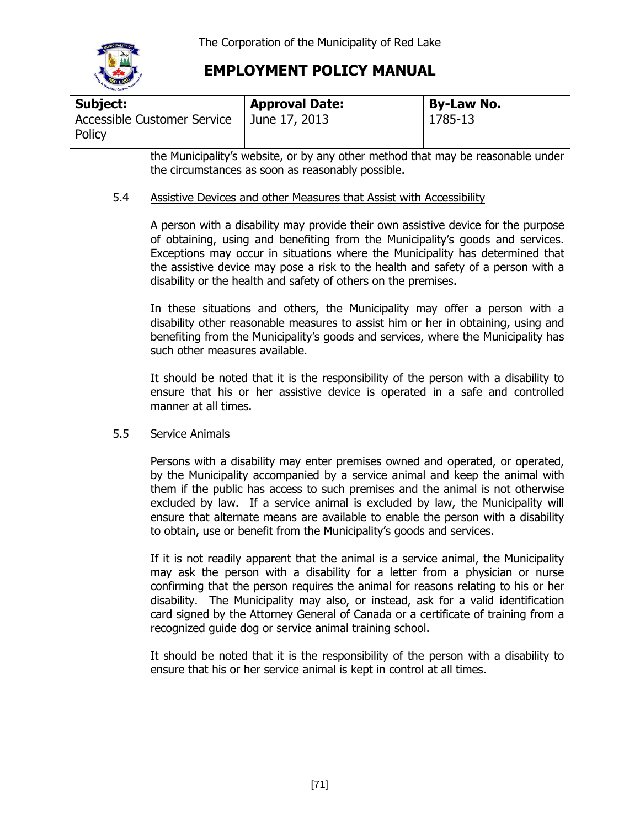

| Subject:                                     | <b>Approval Date:</b> | <b>By-Law No.</b> |  |
|----------------------------------------------|-----------------------|-------------------|--|
| <b>Accessible Customer Service</b><br>Policy | June 17, 2013         | 1785-13           |  |

the Municipality's website, or by any other method that may be reasonable under the circumstances as soon as reasonably possible.

### 5.4 Assistive Devices and other Measures that Assist with Accessibility

A person with a disability may provide their own assistive device for the purpose of obtaining, using and benefiting from the Municipality's goods and services. Exceptions may occur in situations where the Municipality has determined that the assistive device may pose a risk to the health and safety of a person with a disability or the health and safety of others on the premises.

In these situations and others, the Municipality may offer a person with a disability other reasonable measures to assist him or her in obtaining, using and benefiting from the Municipality's goods and services, where the Municipality has such other measures available.

It should be noted that it is the responsibility of the person with a disability to ensure that his or her assistive device is operated in a safe and controlled manner at all times.

#### 5.5 Service Animals

Persons with a disability may enter premises owned and operated, or operated, by the Municipality accompanied by a service animal and keep the animal with them if the public has access to such premises and the animal is not otherwise excluded by law. If a service animal is excluded by law, the Municipality will ensure that alternate means are available to enable the person with a disability to obtain, use or benefit from the Municipality's goods and services.

If it is not readily apparent that the animal is a service animal, the Municipality may ask the person with a disability for a letter from a physician or nurse confirming that the person requires the animal for reasons relating to his or her disability. The Municipality may also, or instead, ask for a valid identification card signed by the Attorney General of Canada or a certificate of training from a recognized guide dog or service animal training school.

It should be noted that it is the responsibility of the person with a disability to ensure that his or her service animal is kept in control at all times.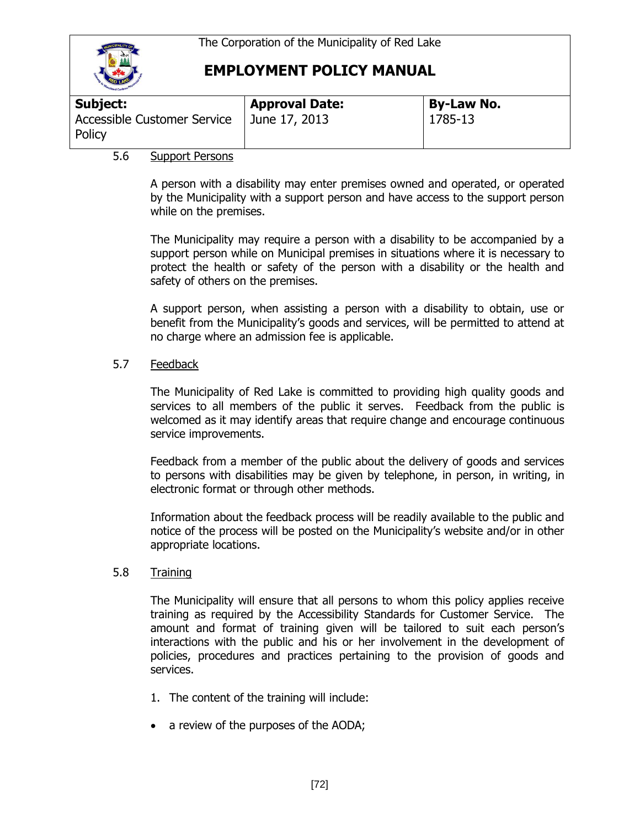

| <b>THE REAL PROPERTY AND INCOME.</b>         |                       |                   |
|----------------------------------------------|-----------------------|-------------------|
| Subject:                                     | <b>Approval Date:</b> | <b>By-Law No.</b> |
| <b>Accessible Customer Service</b><br>Policy | June 17, 2013         | 1785-13           |

### 5.6 Support Persons

A person with a disability may enter premises owned and operated, or operated by the Municipality with a support person and have access to the support person while on the premises.

The Municipality may require a person with a disability to be accompanied by a support person while on Municipal premises in situations where it is necessary to protect the health or safety of the person with a disability or the health and safety of others on the premises.

A support person, when assisting a person with a disability to obtain, use or benefit from the Municipality's goods and services, will be permitted to attend at no charge where an admission fee is applicable.

### 5.7 Feedback

The Municipality of Red Lake is committed to providing high quality goods and services to all members of the public it serves. Feedback from the public is welcomed as it may identify areas that require change and encourage continuous service improvements.

Feedback from a member of the public about the delivery of goods and services to persons with disabilities may be given by telephone, in person, in writing, in electronic format or through other methods.

Information about the feedback process will be readily available to the public and notice of the process will be posted on the Municipality's website and/or in other appropriate locations.

#### 5.8 Training

The Municipality will ensure that all persons to whom this policy applies receive training as required by the Accessibility Standards for Customer Service. The amount and format of training given will be tailored to suit each person's interactions with the public and his or her involvement in the development of policies, procedures and practices pertaining to the provision of goods and services.

- 1. The content of the training will include:
- a review of the purposes of the AODA;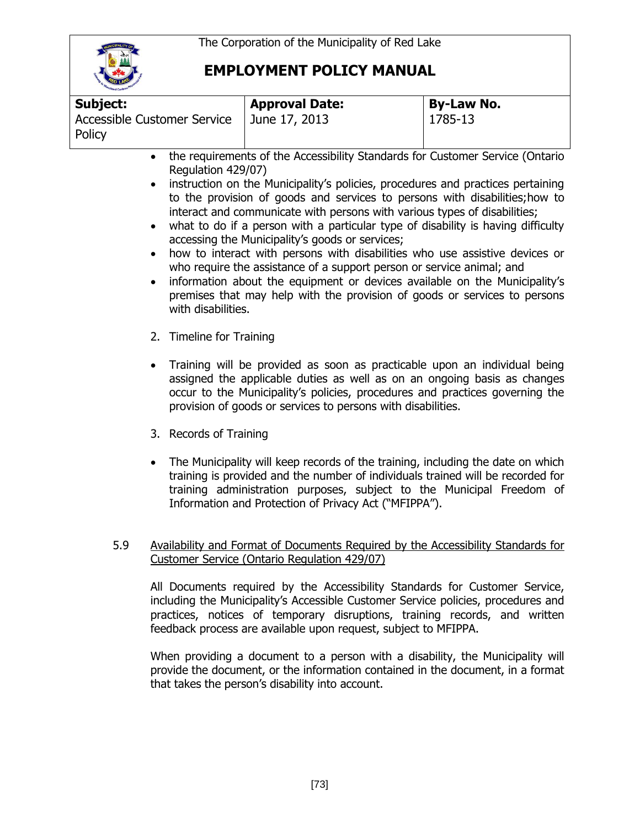

| <b>Carliand Caribour</b>              |                       |                   |
|---------------------------------------|-----------------------|-------------------|
| <b>Subject:</b>                       | <b>Approval Date:</b> | <b>By-Law No.</b> |
| Accessible Customer Service<br>Policy | June 17, 2013         | 1785-13           |

- the requirements of the Accessibility Standards for Customer Service (Ontario Regulation 429/07)
- instruction on the Municipality's policies, procedures and practices pertaining to the provision of goods and services to persons with disabilities;how to interact and communicate with persons with various types of disabilities;
- what to do if a person with a particular type of disability is having difficulty accessing the Municipality's goods or services;
- how to interact with persons with disabilities who use assistive devices or who require the assistance of a support person or service animal; and
- information about the equipment or devices available on the Municipality's premises that may help with the provision of goods or services to persons with disabilities.
- 2. Timeline for Training
- Training will be provided as soon as practicable upon an individual being assigned the applicable duties as well as on an ongoing basis as changes occur to the Municipality's policies, procedures and practices governing the provision of goods or services to persons with disabilities.
- 3. Records of Training
- The Municipality will keep records of the training, including the date on which training is provided and the number of individuals trained will be recorded for training administration purposes, subject to the Municipal Freedom of Information and Protection of Privacy Act ("MFIPPA").

#### 5.9 Availability and Format of Documents Required by the Accessibility Standards for Customer Service (Ontario Regulation 429/07)

All Documents required by the Accessibility Standards for Customer Service, including the Municipality's Accessible Customer Service policies, procedures and practices, notices of temporary disruptions, training records, and written feedback process are available upon request, subject to MFIPPA.

When providing a document to a person with a disability, the Municipality will provide the document, or the information contained in the document, in a format that takes the person's disability into account.